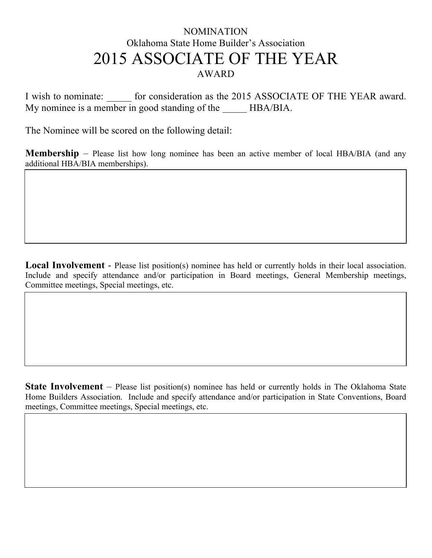## NOMINATION Oklahoma State Home Builder's Association 2015 ASSOCIATE OF THE YEAR AWARD

I wish to nominate: for consideration as the 2015 ASSOCIATE OF THE YEAR award. My nominee is a member in good standing of the HBA/BIA.

The Nominee will be scored on the following detail:

**Membership** – Please list how long nominee has been an active member of local HBA/BIA (and any additional HBA/BIA memberships).

**Local Involvement** - Please list position(s) nominee has held or currently holds in their local association. Include and specify attendance and/or participation in Board meetings, General Membership meetings, Committee meetings, Special meetings, etc.

**State Involvement** – Please list position(s) nominee has held or currently holds in The Oklahoma State Home Builders Association. Include and specify attendance and/or participation in State Conventions, Board meetings, Committee meetings, Special meetings, etc.